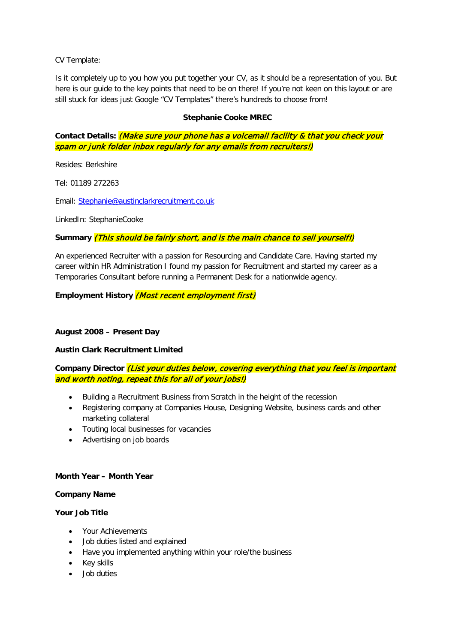CV Template:

Is it completely up to you how you put together your CV, as it should be a representation of you. But here is our guide to the key points that need to be on there! If you're not keen on this layout or are still stuck for ideas just Google "CV Templates" there's hundreds to choose from!

### **Stephanie Cooke MREC**

**Contact Details:** (Make sure your phone has a voicemail facility & that you check your spam or junk folder inbox regularly for any emails from recruiters!)

Resides: Berkshire

Tel: 01189 272263

Email: [Stephanie@austinclarkrecruitment.co.uk](mailto:Stephanie@austinclarkrecruitment.co.uk)

LinkedIn: StephanieCooke

#### **Summary** (This should be fairly short, and is the main chance to sell yourself!)

An experienced Recruiter with a passion for Resourcing and Candidate Care. Having started my career within HR Administration I found my passion for Recruitment and started my career as a Temporaries Consultant before running a Permanent Desk for a nationwide agency.

**Employment History** (Most recent employment first)

#### **August 2008 – Present Day**

#### **Austin Clark Recruitment Limited**

# **Company Director** (List your duties below, covering everything that you feel is important and worth noting, repeat this for all of your jobs!)

- Building a Recruitment Business from Scratch in the height of the recession
- Registering company at Companies House, Designing Website, business cards and other marketing collateral
- Touting local businesses for vacancies
- Advertising on job boards

#### **Month Year – Month Year**

#### **Company Name**

#### **Your Job Title**

- Your Achievements
- Job duties listed and explained
- Have you implemented anything within your role/the business
- Key skills
- Job duties